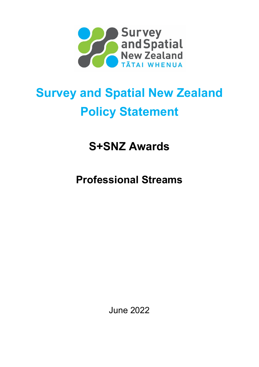

# **Survey and Spatial New Zealand Policy Statement**

**S+SNZ Awards**

**Professional Streams**

June 2022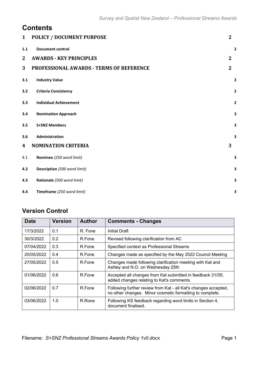## **Contents**

| $\mathbf{1}$ | <b>POLICY / DOCUMENT PURPOSE</b>                | $\mathbf{2}$            |
|--------------|-------------------------------------------------|-------------------------|
| 1.1          | <b>Document control</b>                         | $\mathbf{2}$            |
| $\mathbf{2}$ | <b>AWARDS - KEY PRINCIPLES</b>                  | $\overline{2}$          |
| 3            | <b>PROFESSIONAL AWARDS - TERMS OF REFERENCE</b> | $\overline{2}$          |
| 3.1          | <b>Industry Value</b>                           | 2                       |
| 3.2          | <b>Criteria Consistency</b>                     | $\overline{\mathbf{2}}$ |
| 3.3          | <b>Individual Achievement</b>                   | $\mathbf{2}$            |
| 3.4          | <b>Nomination Approach</b>                      | 3                       |
| 3.5          | <b>S+SNZ Members</b>                            | 3                       |
| 3.6          | Administration                                  | 3                       |
| 4            | <b>NOMINATION CRITERIA</b>                      | 3                       |
| 4.1          | Nominee (250 word limit)                        | 3                       |
| 4.2          | Description (500 word limit)                    | 3                       |
| 4.3          | Rationale (500 word limit)                      | 3                       |
| 4.4          | Timeframe (250 word limit)                      | 3                       |

## **Version Control**

| <b>Date</b> | <b>Version</b> | <b>Author</b> | <b>Comments - Changes</b>                                                                                                   |
|-------------|----------------|---------------|-----------------------------------------------------------------------------------------------------------------------------|
| 17/3/2022   | 0.1            | R. Fone       | <b>Initial Draft</b>                                                                                                        |
| 30/3/2022   | 0.2            | R.Fone        | Revised following clarification from AC                                                                                     |
| 07/04/2022  | 0.3            | R Fone        | Specified context as Professional Streams                                                                                   |
| 20/05/2022  | 0.4            | R Fone        | Changes made as specified by the May 2022 Council Meeting                                                                   |
| 27/05/2022  | 0.5            | R Fone        | Changes made following clarification meeting with Kat and<br>Ashley and N.O. on Wednesday 25th                              |
| 01/06/2022  | 0.6            | R Fone        | Accepted all changes from Kat submitted in feedback 31/05;<br>added changes relating to Kat's comments.                     |
| 02/06/2022  | 0.7            | R Fone        | Following further review from Kat - all Kat's changes accepted,<br>no other changes. Minor cosmetic formatting to complete. |
| 03/06/2022  | 1.0            | R.Rone        | Following KS feedback regarding word limits in Section 4,<br>document finalised.                                            |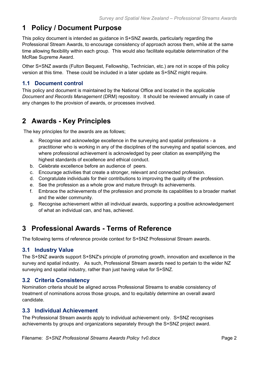## **1 Policy / Document Purpose**

This policy document is intended as guidance in S+SNZ awards, particularly regarding the Professional Stream Awards, to encourage consistency of approach across them, while at the same time allowing flexibility within each group. This would also facilitate equitable determination of the McRae Supreme Award.

Other S+SNZ awards (Fulton Bequest, Fellowship, Technician, etc.) are not in scope of this policy version at this time. These could be included in a later update as S+SNZ might require.

## **1.1 Document control**

This policy and document is maintained by the National Office and located in the applicable *Document and Records Management* (DRM) repository. It should be reviewed annually in case of any changes to the provision of awards, or processes involved.

# **2 Awards - Key Principles**

The key principles for the awards are as follows;

- a. Recognise and acknowledge excellence in the surveying and spatial professions a practitioner who is working in any of the disciplines of the surveying and spatial sciences, and where professional achievement is acknowledged by peer citation as exemplifying the highest standards of excellence and ethical conduct.
- b. Celebrate excellence before an audience of peers.
- c. Encourage activities that create a stronger, relevant and connected profession.
- d. Congratulate individuals for their contributions to improving the quality of the profession.
- e. See the profession as a whole grow and mature through its achievements.
- f. Embrace the achievements of the profession and promote its capabilities to a broader market and the wider community.
- g. Recognise achievement within all individual awards, supporting a positive acknowledgement of what an individual can, and has, achieved.

## **3 Professional Awards - Terms of Reference**

The following terms of reference provide context for S+SNZ Professional Stream awards.

#### **3.1 Industry Value**

The S+SNZ awards support S+SNZ's principle of promoting growth, innovation and excellence in the survey and spatial industry. As such, Professional Stream awards need to pertain to the wider NZ surveying and spatial industry, rather than just having value for S+SNZ.

#### **3.2 Criteria Consistency**

Nomination criteria should be aligned across Professional Streams to enable consistency of treatment of nominations across those groups, and to equitably determine an overall award candidate.

#### **3.3 Individual Achievement**

The Professional Stream awards apply to individual achievement only. S+SNZ recognises achievements by groups and organizations separately through the S+SNZ project award.